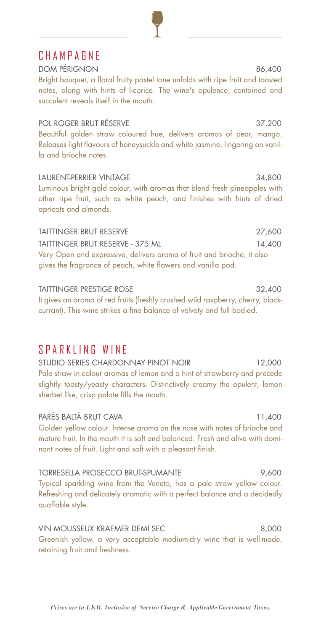# **CHAMPAGNE**

DOM PÉRIGNON 86,400 Bright bouquet, a floral fruity pastel tone unfolds with ripe fruit and toasted notes, along with hints of licorice. The wine's opulence, contained and succulent reveals itself in the mouth.

POL ROGER BRUT RÉSERVE 37,200 Beautiful golden straw coloured hue, delivers aromas of pear, mango. Releases light flavours of honeysuckle and white jasmine, lingering on vanilla and brioche notes.

LAURENT-PERRIER VINTAGE 34,800 Luminous bright gold colour, with aromas that blend fresh pineapples with other ripe fruit, such as white peach, and finishes with hints of dried apricots and almonds.

TAITTINGER BRUT RESERVE 27,600 TAITTINGER BRUT RESERVE - 375 ML 14,400 Very Open and expressive, delivers aroma of fruit and brioche, it also gives the fragrance of peach, white flowers and vanilla pod.

TAITTINGER PRESTIGE ROSE 32,400 It gives an aroma of red fruits (freshly crushed wild raspberry, cherry, blackcurrant). This wine strikes a fine balance of velvety and full bodied.

## SPARKLING WINE

STUDIO SERIES CHARDONNAY PINOT NOIR 12,000 Pale straw in colour aromas of lemon and a hint of strawberry and precede slightly toasty/yeasty characters. Distinctively creamy the opulent, lemon sherbet like, crisp palate fills the mouth.

PARÉS BALTÀ BRUT CAVA 11,400 Golden yellow colour. Intense aroma on the nose with notes of brioche and mature fruit. In the mouth it is soft and balanced. Fresh and alive with dominant notes of fruit. Light and soft with a pleasant finish.

TORRESELLA PROSECCO BRUT-SPUMANTE 9,600 Typical sparkling wine from the Veneto, has a pale straw yellow colour. Refreshing and delicately aromatic with a perfect balance and a decidedly quaffable style.

VIN MOUSSEUX KRAEMER DEMI SEC 8,000 Greenish yellow, a very acceptable medium-dry wine that is well-made, retaining fruit and freshness.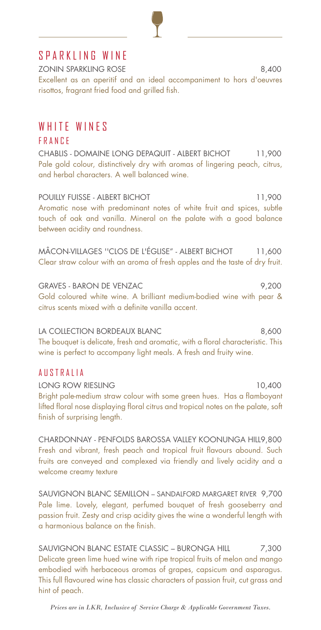# SPARKLING WINE

ZONIN SPARKLING ROSE 8,400 Excellent as an aperitif and an ideal accompaniment to hors d'oeuvres risottos, fragrant fried food and grilled fish.

## WHITE WINES

#### FRANCE

CHABLIS - DOMAINE LONG DEPAQUIT - ALBERT BICHOT 11,900 Pale gold colour, distinctively dry with aromas of lingering peach, citrus, and herbal characters. A well balanced wine.

POUILLY FUISSE - ALBERT BICHOT 11,900 Aromatic nose with predominant notes of white fruit and spices, subtle touch of oak and vanilla. Mineral on the palate with a good balance between acidity and roundness.

MÂCON-VILLAGES "CLOS DE L'ÉGLISE" - ALBERT BICHOT 11,600 Clear straw colour with an aroma of fresh apples and the taste of dry fruit.

GRAVES - BARON DE VENZAC 9,200 Gold coloured white wine. A brilliant medium-bodied wine with pear & citrus scents mixed with a definite vanilla accent.

LA COLLECTION BORDEAUX BLANC 6,600 The bouquet is delicate, fresh and aromatic, with a floral characteristic. This wine is perfect to accompany light meals. A fresh and fruity wine.

#### AUSTRALIA

LONG ROW RIESLING 10,400 Bright pale-medium straw colour with some green hues. Has a flamboyant lifted floral nose displaying floral citrus and tropical notes on the palate, soft finish of surprising length.

CHARDONNAY - PENFOLDS BAROSSA VALLEY KOONUNGA HILL9,800 Fresh and vibrant, fresh peach and tropical fruit flavours abound. Such fruits are conveyed and complexed via friendly and lively acidity and a welcome creamy texture

SAUVIGNON BLANC SEMILLON – SANDALFORD MARGARET RIVER 9,700 Pale lime. Lovely, elegant, perfumed bouquet of fresh gooseberry and passion fruit. Zesty and crisp acidity gives the wine a wonderful length with a harmonious balance on the finish.

SAUVIGNON BLANC ESTATE CLASSIC – BURONGA HILL 7,300 Delicate green lime hued wine with ripe tropical fruits of melon and mango embodied with herbaceous aromas of grapes, capsicum and asparagus. This full flavoured wine has classic characters of passion fruit, cut grass and hint of peach.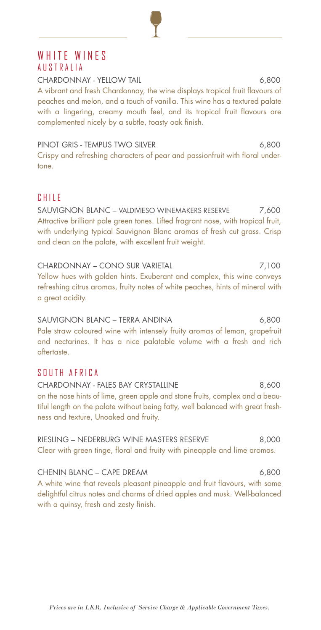### WHITE WINES AUSTRALIA

CHARDONNAY - YELLOW TAIL **Example 2008** 6,800 A vibrant and fresh Chardonnay, the wine displays tropical fruit flavours of peaches and melon, and a touch of vanilla. This wine has a textured palate with a lingering, creamy mouth feel, and its tropical fruit flavours are complemented nicely by a subtle, toasty oak finish.

PINOT GRIS - TEMPUS TWO SILVER 6,800 Crispy and refreshing characters of pear and passionfruit with floral undertone.

#### CHILE

SAUVIGNON BLANC – VALDIVIESO WINEMAKERS RESERVE 7,600 Attractive brilliant pale green tones. Lifted fragrant nose, with tropical fruit, with underlying typical Sauvignon Blanc aromas of fresh cut grass. Crisp and clean on the palate, with excellent fruit weight.

CHARDONNAY – CONO SUR VARIETAL 7,100 Yellow hues with golden hints. Exuberant and complex, this wine conveys refreshing citrus aromas, fruity notes of white peaches, hints of mineral with a great acidity.

SAUVIGNON BLANC – TERRA ANDINA 6,800 Pale straw coloured wine with intensely fruity aromas of lemon, grapefruit and nectarines. It has a nice palatable volume with a fresh and rich aftertaste.

#### SOUTH AFRICA

CHARDONNAY - FALES BAY CRYSTALLINE 6,600 on the nose hints of lime, green apple and stone fruits, complex and a beautiful length on the palate without being fatty, well balanced with great freshness and texture, Unoaked and fruity.

RIESLING – NEDERBURG WINE MASTERS RESERVE 8,000 Clear with green tinge, floral and fruity with pineapple and lime aromas.

CHENIN BLANC – CAPE DREAM 6,800 A white wine that reveals pleasant pineapple and fruit flavours, with some delightful citrus notes and charms of dried apples and musk. Well-balanced with a quinsy, fresh and zesty finish.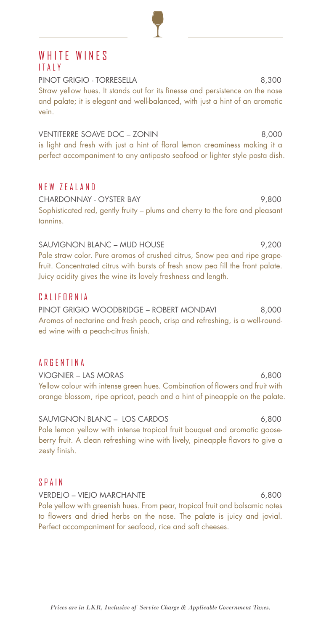## WHITE WINES ITALY

PINOT GRIGIO - TORRESELLA 8.300 Straw yellow hues. It stands out for its finesse and persistence on the nose and palate; it is elegant and well-balanced, with just a hint of an aromatic vein.

VENTITERRE SOAVE DOC – ZONIN 8,000 is light and fresh with just a hint of floral lemon creaminess making it a perfect accompaniment to any antipasto seafood or lighter style pasta dish.

#### NEW ZEALAND

CHARDONNAY - OYSTER BAY 9,800 Sophisticated red, gently fruity – plums and cherry to the fore and pleasant tannins.

SAUVIGNON BLANC – MUD HOUSE 9,200 Pale straw color. Pure aromas of crushed citrus, Snow pea and ripe grapefruit. Concentrated citrus with bursts of fresh snow pea fill the front palate. Juicy acidity gives the wine its lovely freshness and length.

#### CALIFORNIA

PINOT GRIGIO WOODBRIDGE – ROBERT MONDAVI 8,000 Aromas of nectarine and fresh peach, crisp and refreshing, is a well-rounded wine with a peach-citrus finish.

#### **ARGENTINA**

VIOGNIER – LAS MORAS 6,800 Yellow colour with intense green hues. Combination of flowers and fruit with orange blossom, ripe apricot, peach and a hint of pineapple on the palate.

SAUVIGNON BLANC – LOS CARDOS 6,800 Pale lemon yellow with intense tropical fruit bouquet and aromatic gooseberry fruit. A clean refreshing wine with lively, pineapple flavors to give a zesty finish.

#### SPAIN

VERDEJO – VIEJO MARCHANTE 6,800 Pale yellow with greenish hues. From pear, tropical fruit and balsamic notes to flowers and dried herbs on the nose. The palate is juicy and jovial. Perfect accompaniment for seafood, rice and soft cheeses.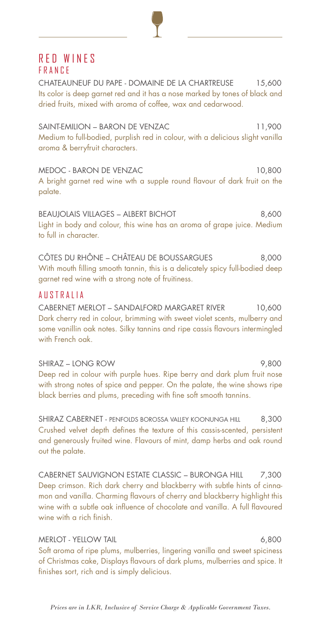### RED WINES FRANCE

CHATEAUNEUF DU PAPE - DOMAINE DE LA CHARTREUSE 15,600 Its color is deep garnet red and it has a nose marked by tones of black and dried fruits, mixed with aroma of coffee, wax and cedarwood.

SAINT-EMILION – BARON DE VENZAC 11,900 Medium to full-bodied, purplish red in colour, with a delicious slight vanilla aroma & berryfruit characters.

MEDOC - BARON DE VENZAC 10,800 A bright garnet red wine wth a supple round flavour of dark fruit on the palate.

BEAUJOLAIS VILLAGES – ALBERT BICHOT 8,600 Light in body and colour, this wine has an aroma of grape juice. Medium to full in character.

CÔTES DU RHÔNE – CHÂTEAU DE BOUSSARGUES 8,000 With mouth filling smooth tannin, this is a delicately spicy full-bodied deep garnet red wine with a strong note of fruitiness.

#### AUSTRALIA

CABERNET MERLOT – SANDALFORD MARGARET RIVER 10,600 Dark cherry red in colour, brimming with sweet violet scents, mulberry and some vanillin oak notes. Silky tannins and ripe cassis flavours intermingled with French oak.

SHIRAZ – LONG ROW 9,800 Deep red in colour with purple hues. Ripe berry and dark plum fruit nose with strong notes of spice and pepper. On the palate, the wine shows ripe black berries and plums, preceding with fine soft smooth tannins.

SHIRAZ CABERNET - PENFOLDS BOROSSA VALLEY KOONUNGA HILL 8,300 Crushed velvet depth defines the texture of this cassis-scented, persistent and generously fruited wine. Flavours of mint, damp herbs and oak round out the palate.

CABERNET SAUVIGNON ESTATE CLASSIC - BURONGA HILL 7,300 Deep crimson. Rich dark cherry and blackberry with subtle hints of cinnamon and vanilla. Charming flavours of cherry and blackberry highlight this wine with a subtle oak influence of chocolate and vanilla. A full flavoured wine with a rich finish.

#### MERLOT - YELLOW TAIL **6,800**

Soft aroma of ripe plums, mulberries, lingering vanilla and sweet spiciness of Christmas cake, Displays flavours of dark plums, mulberries and spice. It finishes sort, rich and is simply delicious.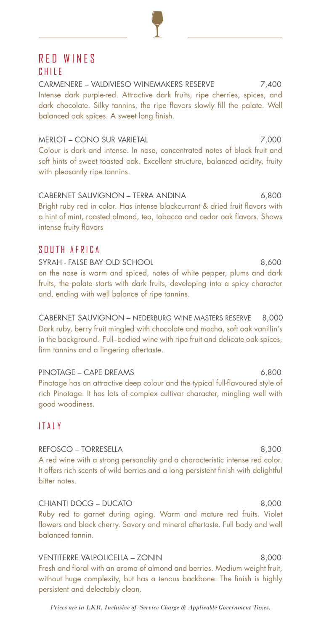# RED WINES

#### CHILE

CARMENERE – VALDIVIESO WINEMAKERS RESERVE 7,400 Intense dark purple-red. Attractive dark fruits, ripe cherries, spices, and dark chocolate. Silky tannins, the ripe flavors slowly fill the palate. Well balanced oak spices. A sweet long finish.

# MERLOT – CONO SUR VARIETAL 7,000

Colour is dark and intense. In nose, concentrated notes of black fruit and soft hints of sweet toasted oak. Excellent structure, balanced acidity, fruity with pleasantly ripe tannins.

CABERNET SAUVIGNON – TERRA ANDINA 6,800 Bright ruby red in color. Has intense blackcurrant & dried fruit flavors with a hint of mint, roasted almond, tea, tobacco and cedar oak flavors. Shows intense fruity flavors

#### SOUTH AFRICA

SYRAH - FALSE BAY OLD SCHOOL 8,600 on the nose is warm and spiced, notes of white pepper, plums and dark fruits, the palate starts with dark fruits, developing into a spicy character and, ending with well balance of ripe tannins.

CABERNET SAUVIGNON – NEDERBURG WINE MASTERS RESERVE 8,000 Dark ruby, berry fruit mingled with chocolate and mocha, soft oak vanillin's in the background. Full–bodied wine with ripe fruit and delicate oak spices, firm tannins and a lingering aftertaste.

PINOTAGE – CAPE DREAMS 6,800 Pinotage has an attractive deep colour and the typical full-flavoured style of rich Pinotage. It has lots of complex cultivar character, mingling well with good woodiness.

#### ITALY

REFOSCO – TORRESELLA 8,300 A red wine with a strong personality and a characteristic intense red color. It offers rich scents of wild berries and a long persistent finish with delightful bitter notes.

CHIANTI DOCG – DUCATO 8,000 Ruby red to garnet during aging. Warm and mature red fruits. Violet flowers and black cherry. Savory and mineral aftertaste. Full body and well balanced tannin.

VENTITERRE VALPOLICELLA – ZONIN 8,000 Fresh and floral with an aroma of almond and berries. Medium weight fruit, without huge complexity, but has a tenous backbone. The finish is highly persistent and delectably clean.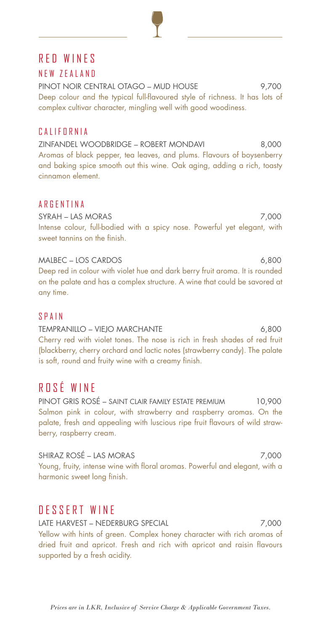# RED WINES

#### NEW ZEALAND

PINOT NOIR CENTRAL OTAGO – MUD HOUSE 9,700 Deep colour and the typical full-flavoured style of richness. It has lots of complex cultivar character, mingling well with good woodiness.

#### CALIFORNIA

ZINFANDEL WOODBRIDGE – ROBERT MONDAVI 8,000 Aromas of black pepper, tea leaves, and plums. Flavours of boysenberry and baking spice smooth out this wine. Oak aging, adding a rich, toasty cinnamon element.

#### **ARGENTINA**

SYRAH – LAS MORAS 7,000 Intense colour, full-bodied with a spicy nose. Powerful yet elegant, with sweet tannins on the finish.

MALBEC – LOS CARDOS 6,800

Deep red in colour with violet hue and dark berry fruit aroma. It is rounded on the palate and has a complex structure. A wine that could be savored at any time.

#### SPAIN

TEMPRANILLO – VIEJO MARCHANTE 6,800 Cherry red with violet tones. The nose is rich in fresh shades of red fruit (blackberry, cherry orchard and lactic notes (strawberry candy). The palate is soft, round and fruity wine with a creamy finish.

# ROSÉ WINE

PINOT GRIS ROSÉ – SAINT CLAIR FAMILY ESTATE PREMIUM 10,900 Salmon pink in colour, with strawberry and raspberry aromas. On the palate, fresh and appealing with luscious ripe fruit flavours of wild strawberry, raspberry cream.

SHIRAZ ROSÉ – LAS MORAS 7,000 Young, fruity, intense wine with floral aromas. Powerful and elegant, with a harmonic sweet long finish.

# DESSERT WINE

LATE HARVEST – NEDERBURG SPECIAL 7,000 Yellow with hints of green. Complex honey character with rich aromas of dried fruit and apricot. Fresh and rich with apricot and raisin flavours supported by a fresh acidity.